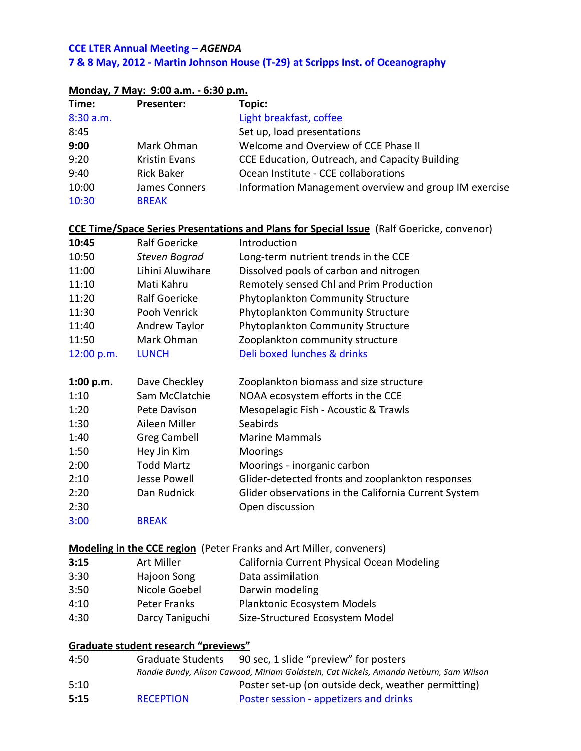## **CCE LTER Annual Meeting – AGENDA 7 & 8 May, 2012 - Martin Johnson House (T-29) at Scripps Inst. of Oceanography**

|            | <u>ivionuay, 7 iviay:  9:00 a.m. - 6:30 p.m.</u> |                                                                                                                                 |
|------------|--------------------------------------------------|---------------------------------------------------------------------------------------------------------------------------------|
| Time:      | <b>Presenter:</b>                                | Topic:                                                                                                                          |
| 8:30 a.m.  |                                                  | Light breakfast, coffee                                                                                                         |
| 8:45       |                                                  | Set up, load presentations                                                                                                      |
| 9:00       | Mark Ohman                                       | Welcome and Overview of CCE Phase II                                                                                            |
| 9:20       | <b>Kristin Evans</b>                             | CCE Education, Outreach, and Capacity Building                                                                                  |
| 9:40       | <b>Rick Baker</b>                                | Ocean Institute - CCE collaborations                                                                                            |
| 10:00      | James Conners                                    | Information Management overview and group IM exercise                                                                           |
| 10:30      | <b>BREAK</b>                                     |                                                                                                                                 |
|            |                                                  | CCE Time/Space Series Presentations and Plans for Special Issue (Ralf Goericke, convenor)                                       |
| 10:45      | <b>Ralf Goericke</b>                             | Introduction                                                                                                                    |
| 10:50      | Steven Bograd                                    | Long-term nutrient trends in the CCE                                                                                            |
| 11:00      | Lihini Aluwihare                                 | Dissolved pools of carbon and nitrogen                                                                                          |
| 11:10      | Mati Kahru                                       | Remotely sensed Chl and Prim Production                                                                                         |
| 11:20      | <b>Ralf Goericke</b>                             | <b>Phytoplankton Community Structure</b>                                                                                        |
| 11:30      | Pooh Venrick                                     | Phytoplankton Community Structure                                                                                               |
| 11:40      | Andrew Taylor                                    | Phytoplankton Community Structure                                                                                               |
| 11:50      | Mark Ohman                                       | Zooplankton community structure                                                                                                 |
| 12:00 p.m. | <b>LUNCH</b>                                     | Deli boxed lunches & drinks                                                                                                     |
| 1:00 p.m.  | Dave Checkley                                    | Zooplankton biomass and size structure                                                                                          |
| 1:10       | Sam McClatchie                                   | NOAA ecosystem efforts in the CCE                                                                                               |
| 1:20       | Pete Davison                                     | Mesopelagic Fish - Acoustic & Trawls                                                                                            |
| 1:30       | Aileen Miller                                    | Seabirds                                                                                                                        |
| 1:40       | <b>Greg Cambell</b>                              | <b>Marine Mammals</b>                                                                                                           |
| 1:50       | Hey Jin Kim                                      | Moorings                                                                                                                        |
| 2:00       | <b>Todd Martz</b>                                | Moorings - inorganic carbon                                                                                                     |
| 2:10       | <b>Jesse Powell</b>                              | Glider-detected fronts and zooplankton responses                                                                                |
| 2:20       | Dan Rudnick                                      | Glider observations in the California Current System                                                                            |
| 2:30       |                                                  | Open discussion                                                                                                                 |
| 3:00       | <b>BREAK</b>                                     |                                                                                                                                 |
|            |                                                  | <b>Modeling in the CCE region</b> (Peter Franks and Art Miller, conveners)                                                      |
| 3:15       | <b>Art Miller</b>                                | California Current Physical Ocean Modeling                                                                                      |
| 3:30       | Hajoon Song                                      | Data assimilation                                                                                                               |
| 3:50       | Nicole Goebel                                    | Darwin modeling                                                                                                                 |
| 4:10       | <b>Peter Franks</b>                              | Planktonic Ecosystem Models                                                                                                     |
| 4:30       | Darcy Taniguchi                                  | Size-Structured Ecosystem Model                                                                                                 |
|            | Graduate student research "previews"             |                                                                                                                                 |
| 4:50       | <b>Graduate Students</b>                         | 90 sec, 1 slide "preview" for posters<br>Randie Bundy, Alison Cawood, Miriam Goldstein, Cat Nickels, Amanda Netburn, Sam Wilson |
| 5:10       |                                                  | Poster set-up (on outside deck, weather permitting)                                                                             |
| 5:15       | <b>RECEPTION</b>                                 | Poster session - appetizers and drinks                                                                                          |

## **Monday, 7 May: 9:00 a.m. - 6:30 p.m.**